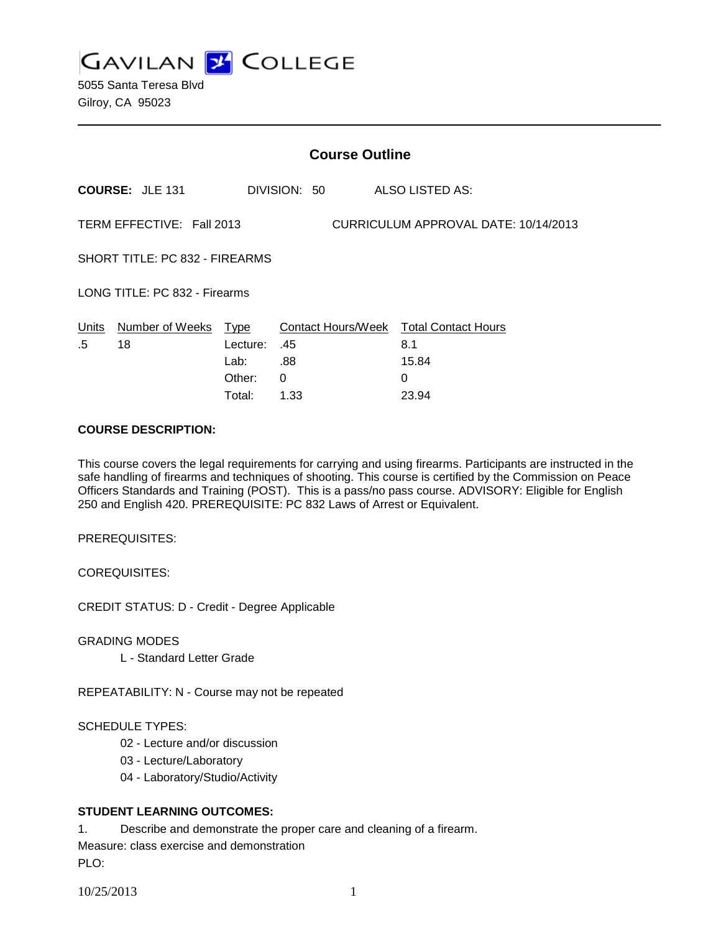**GAVILAN J COLLEGE** 

5055 Santa Teresa Blvd Gilroy, CA 95023

|                                                                   |                        | <b>Course Outline</b> |              |                                        |  |
|-------------------------------------------------------------------|------------------------|-----------------------|--------------|----------------------------------------|--|
|                                                                   | <b>COURSE: JLE 131</b> |                       | DIVISION: 50 | ALSO LISTED AS:                        |  |
| CURRICULUM APPROVAL DATE: 10/14/2013<br>TERM EFFECTIVE: Fall 2013 |                        |                       |              |                                        |  |
| SHORT TITLE: PC 832 - FIREARMS                                    |                        |                       |              |                                        |  |
| LONG TITLE: PC 832 - Firearms                                     |                        |                       |              |                                        |  |
| Units                                                             | Number of Weeks Type   |                       |              | Contact Hours/Week Total Contact Hours |  |
| .5                                                                | 18                     | Lecture:              | .45          | 8.1                                    |  |
|                                                                   |                        | Lab:                  | .88          | 15.84                                  |  |
|                                                                   |                        | Other:                | 0            | 0                                      |  |
|                                                                   |                        | Total:                | 1.33         | 23.94                                  |  |

#### **COURSE DESCRIPTION:**

This course covers the legal requirements for carrying and using firearms. Participants are instructed in the safe handling of firearms and techniques of shooting. This course is certified by the Commission on Peace Officers Standards and Training (POST). This is a pass/no pass course. ADVISORY: Eligible for English 250 and English 420. PREREQUISITE: PC 832 Laws of Arrest or Equivalent.

PREREQUISITES:

COREQUISITES:

CREDIT STATUS: D - Credit - Degree Applicable

GRADING MODES

L - Standard Letter Grade

REPEATABILITY: N - Course may not be repeated

## SCHEDULE TYPES:

- 02 Lecture and/or discussion
- 03 Lecture/Laboratory
- 04 Laboratory/Studio/Activity

## **STUDENT LEARNING OUTCOMES:**

1. Describe and demonstrate the proper care and cleaning of a firearm. Measure: class exercise and demonstration PLO: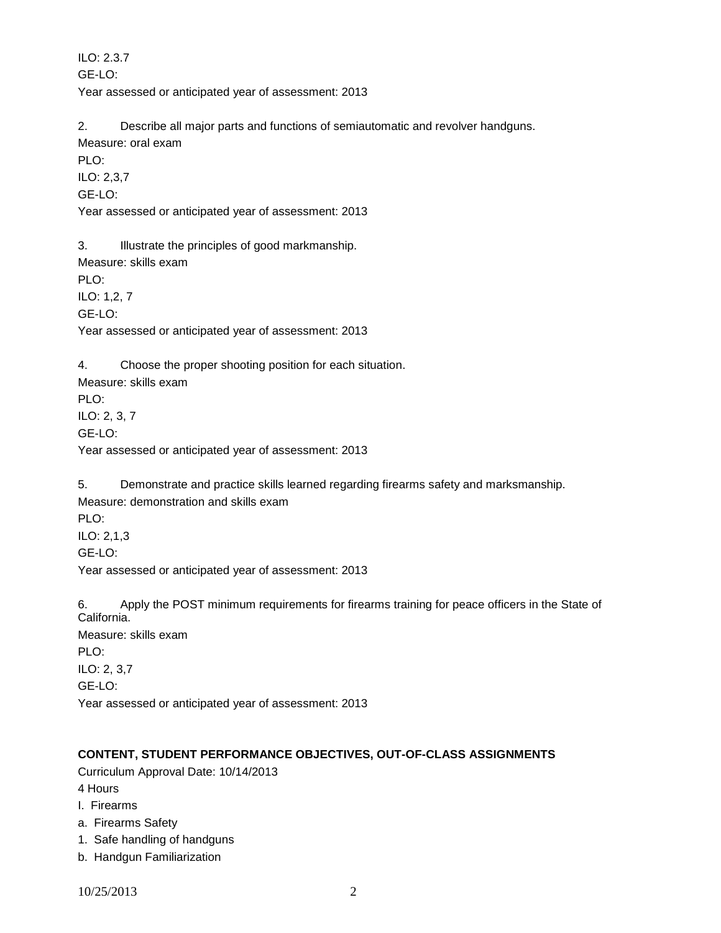ILO: 2.3.7 GE-LO: Year assessed or anticipated year of assessment: 2013

2. Describe all major parts and functions of semiautomatic and revolver handguns.

Measure: oral exam

PLO:

ILO: 2,3,7

GE-LO:

Year assessed or anticipated year of assessment: 2013

3. Illustrate the principles of good markmanship. Measure: skills exam PLO: ILO: 1,2, 7

GE-LO:

Year assessed or anticipated year of assessment: 2013

4. Choose the proper shooting position for each situation.

Measure: skills exam PLO: ILO: 2, 3, 7 GE-LO: Year assessed or anticipated year of assessment: 2013

5. Demonstrate and practice skills learned regarding firearms safety and marksmanship.

Measure: demonstration and skills exam PLO: ILO: 2,1,3 GE-LO: Year assessed or anticipated year of assessment: 2013

6. Apply the POST minimum requirements for firearms training for peace officers in the State of California. Measure: skills exam PLO: ILO: 2, 3,7 GE-LO: Year assessed or anticipated year of assessment: 2013

# **CONTENT, STUDENT PERFORMANCE OBJECTIVES, OUT-OF-CLASS ASSIGNMENTS**

Curriculum Approval Date: 10/14/2013

4 Hours

- I. Firearms
- a. Firearms Safety
- 1. Safe handling of handguns
- b. Handgun Familiarization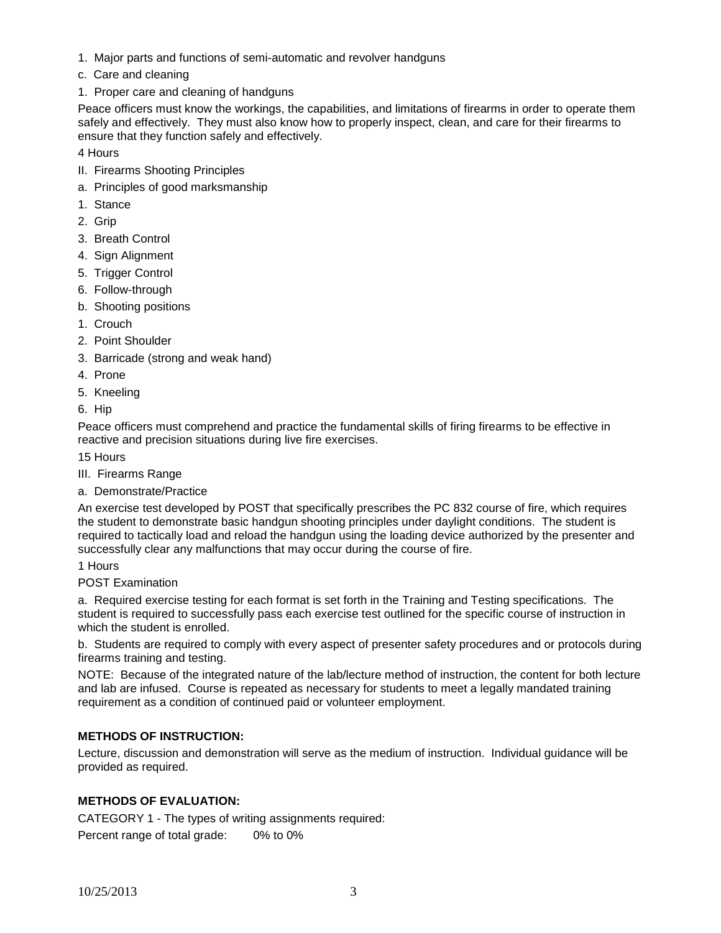- 1. Major parts and functions of semi-automatic and revolver handguns
- c. Care and cleaning
- 1. Proper care and cleaning of handguns

Peace officers must know the workings, the capabilities, and limitations of firearms in order to operate them safely and effectively. They must also know how to properly inspect, clean, and care for their firearms to ensure that they function safely and effectively.

4 Hours

- II. Firearms Shooting Principles
- a. Principles of good marksmanship
- 1. Stance
- 2. Grip
- 3. Breath Control
- 4. Sign Alignment
- 5. Trigger Control
- 6. Follow-through
- b. Shooting positions
- 1. Crouch
- 2. Point Shoulder
- 3. Barricade (strong and weak hand)
- 4. Prone
- 5. Kneeling

6. Hip

Peace officers must comprehend and practice the fundamental skills of firing firearms to be effective in reactive and precision situations during live fire exercises.

15 Hours

- III. Firearms Range
- a. Demonstrate/Practice

An exercise test developed by POST that specifically prescribes the PC 832 course of fire, which requires the student to demonstrate basic handgun shooting principles under daylight conditions. The student is required to tactically load and reload the handgun using the loading device authorized by the presenter and successfully clear any malfunctions that may occur during the course of fire.

1 Hours

POST Examination

a. Required exercise testing for each format is set forth in the Training and Testing specifications. The student is required to successfully pass each exercise test outlined for the specific course of instruction in which the student is enrolled.

b. Students are required to comply with every aspect of presenter safety procedures and or protocols during firearms training and testing.

NOTE: Because of the integrated nature of the lab/lecture method of instruction, the content for both lecture and lab are infused. Course is repeated as necessary for students to meet a legally mandated training requirement as a condition of continued paid or volunteer employment.

## **METHODS OF INSTRUCTION:**

Lecture, discussion and demonstration will serve as the medium of instruction. Individual guidance will be provided as required.

#### **METHODS OF EVALUATION:**

CATEGORY 1 - The types of writing assignments required: Percent range of total grade: 0% to 0%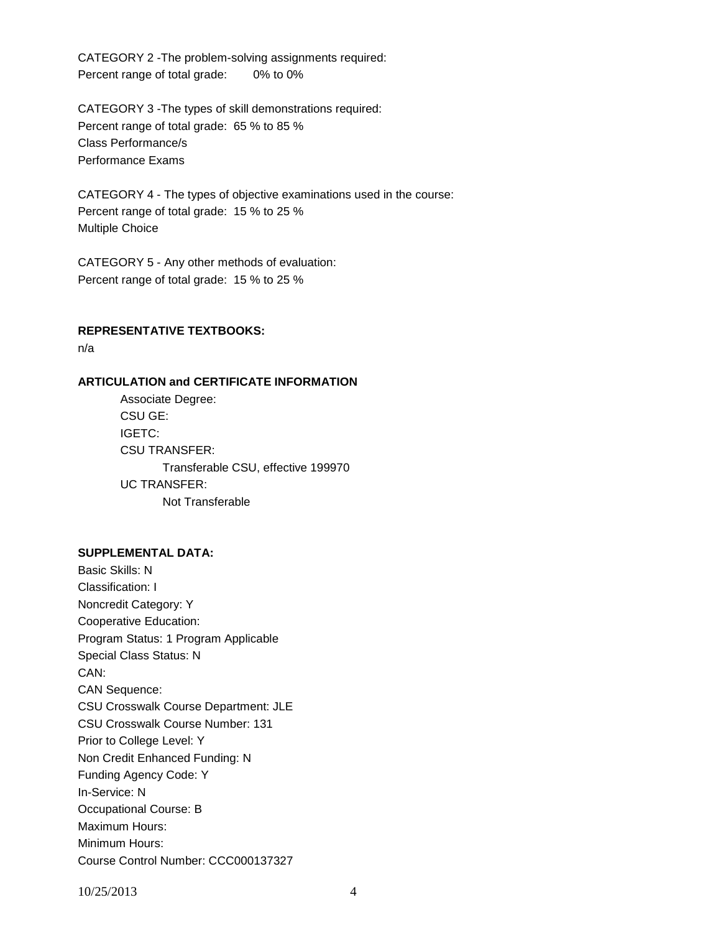CATEGORY 2 -The problem-solving assignments required: Percent range of total grade: 0% to 0%

CATEGORY 3 -The types of skill demonstrations required: Percent range of total grade: 65 % to 85 % Class Performance/s Performance Exams

CATEGORY 4 - The types of objective examinations used in the course: Percent range of total grade: 15 % to 25 % Multiple Choice

CATEGORY 5 - Any other methods of evaluation: Percent range of total grade: 15 % to 25 %

#### **REPRESENTATIVE TEXTBOOKS:**

n/a

## **ARTICULATION and CERTIFICATE INFORMATION**

Associate Degree: CSU GE: IGETC: CSU TRANSFER: Transferable CSU, effective 199970 UC TRANSFER: Not Transferable

#### **SUPPLEMENTAL DATA:**

Basic Skills: N Classification: I Noncredit Category: Y Cooperative Education: Program Status: 1 Program Applicable Special Class Status: N CAN: CAN Sequence: CSU Crosswalk Course Department: JLE CSU Crosswalk Course Number: 131 Prior to College Level: Y Non Credit Enhanced Funding: N Funding Agency Code: Y In-Service: N Occupational Course: B Maximum Hours: Minimum Hours: Course Control Number: CCC000137327